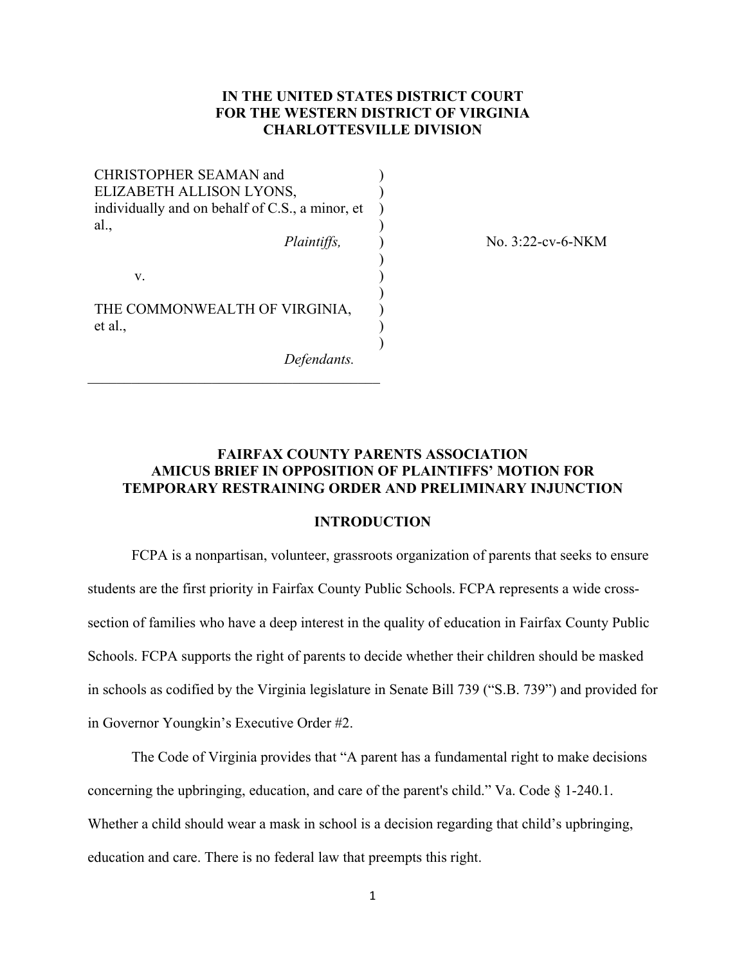# **IN THE UNITED STATES DISTRICT COURT FOR THE WESTERN DISTRICT OF VIRGINIA CHARLOTTESVILLE DIVISION**

) ) ) )

) ) ) ) ) )

CHRISTOPHER SEAMAN and ELIZABETH ALLISON LYONS, individually and on behalf of C.S., a minor, et al., *Plaintiffs,* 

v.

THE COMMONWEALTH OF VIRGINIA, et al.,

 $\mathcal{L}_\mathcal{L}$  , which is a set of the set of the set of the set of the set of the set of the set of the set of the set of the set of the set of the set of the set of the set of the set of the set of the set of the set of

*Defendants.*

) No. 3:22-cv-6-NKM

# **FAIRFAX COUNTY PARENTS ASSOCIATION AMICUS BRIEF IN OPPOSITION OF PLAINTIFFS' MOTION FOR TEMPORARY RESTRAINING ORDER AND PRELIMINARY INJUNCTION**

## **INTRODUCTION**

FCPA is a nonpartisan, volunteer, grassroots organization of parents that seeks to ensure students are the first priority in Fairfax County Public Schools. FCPA represents a wide crosssection of families who have a deep interest in the quality of education in Fairfax County Public Schools. FCPA supports the right of parents to decide whether their children should be masked in schools as codified by the Virginia legislature in Senate Bill 739 ("S.B. 739") and provided for in Governor Youngkin's Executive Order #2.

The Code of Virginia provides that "A parent has a fundamental right to make decisions concerning the upbringing, education, and care of the parent's child." Va. Code  $\S$  1-240.1. Whether a child should wear a mask in school is a decision regarding that child's upbringing, education and care. There is no federal law that preempts this right.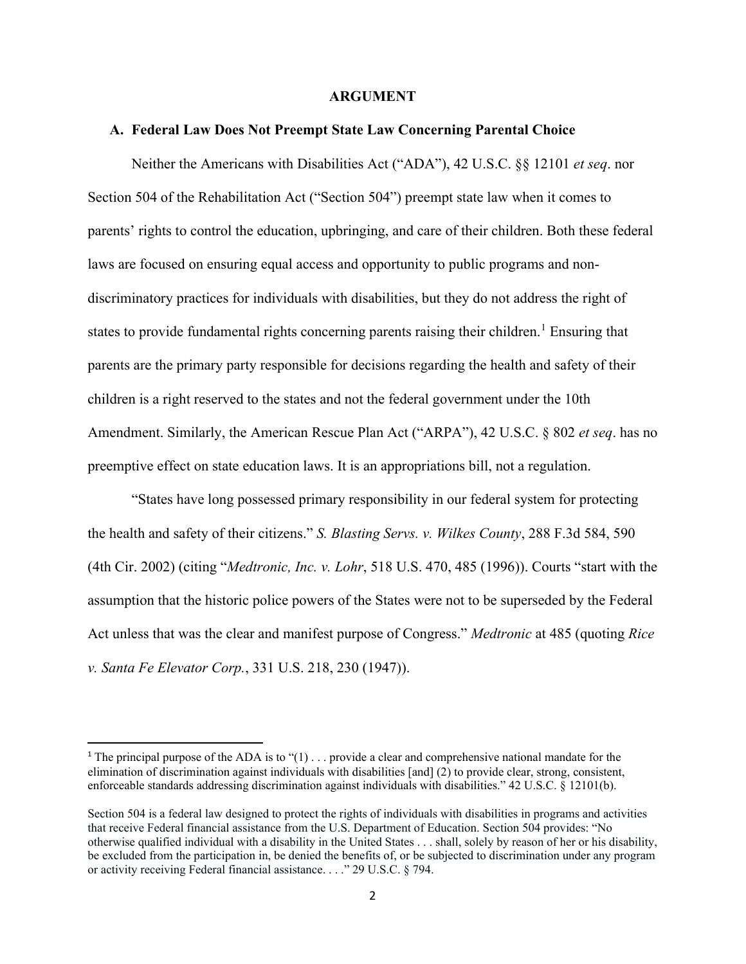#### **ARGUMENT**

#### **A. Federal Law Does Not Preempt State Law Concerning Parental Choice**

Neither the Americans with Disabilities Act ("ADA"), 42 U.S.C. §§ 12101 *et seq*. nor Section 504 of the Rehabilitation Act ("Section 504") preempt state law when it comes to parents' rights to control the education, upbringing, and care of their children. Both these federal laws are focused on ensuring equal access and opportunity to public programs and nondiscriminatory practices for individuals with disabilities, but they do not address the right of states to provide fundamental rights concerning parents raising their children.<sup>[1](#page-1-0)</sup> Ensuring that parents are the primary party responsible for decisions regarding the health and safety of their children is a right reserved to the states and not the federal government under the 10th Amendment. Similarly, the American Rescue Plan Act ("ARPA"), 42 U.S.C. § 802 *et seq*. has no preemptive effect on state education laws. It is an appropriations bill, not a regulation.

"States have long possessed primary responsibility in our federal system for protecting the health and safety of their citizens." *S. Blasting Servs. v. Wilkes County*, 288 F.3d 584, 590 (4th Cir. 2002) (citing "*Medtronic, Inc. v. Lohr*, 518 U.S. 470, 485 (1996)). Courts "start with the assumption that the historic police powers of the States were not to be superseded by the Federal Act unless that was the clear and manifest purpose of Congress." *Medtronic* at 485 (quoting *Rice v. Santa Fe Elevator Corp.*, 331 U.S. 218, 230 (1947)).

<span id="page-1-0"></span><sup>&</sup>lt;sup>1</sup> The principal purpose of the ADA is to " $(1)$ ... provide a clear and comprehensive national mandate for the elimination of discrimination against individuals with disabilities [and] (2) to provide clear, strong, consistent, enforceable standards addressing discrimination against individuals with disabilities." 42 U.S.C. § 12101(b).

Section 504 is a federal law designed to protect the rights of individuals with disabilities in programs and activities that receive Federal financial assistance from the U.S. Department of Education. Section 504 provides: "No otherwise qualified individual with a disability in the United States . . . shall, solely by reason of her or his disability, be excluded from the participation in, be denied the benefits of, or be subjected to discrimination under any program or activity receiving Federal financial assistance. . . ." 29 U.S.C. § 794.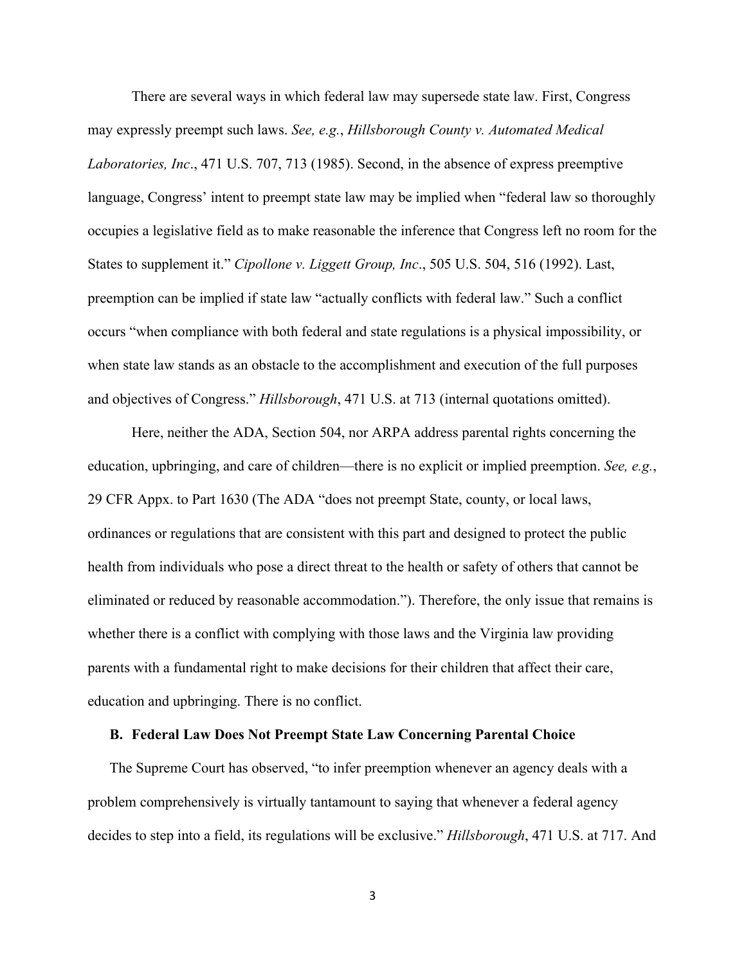There are several ways in which federal law may supersede state law. First, Congress may expressly preempt such laws. *See, e.g.*, *Hillsborough County v. Automated Medical Laboratories, Inc*., 471 U.S. 707, 713 (1985). Second, in the absence of express preemptive language, Congress' intent to preempt state law may be implied when "federal law so thoroughly occupies a legislative field as to make reasonable the inference that Congress left no room for the States to supplement it." *Cipollone v. Liggett Group, Inc*., 505 U.S. 504, 516 (1992). Last, preemption can be implied if state law "actually conflicts with federal law." Such a conflict occurs "when compliance with both federal and state regulations is a physical impossibility, or when state law stands as an obstacle to the accomplishment and execution of the full purposes and objectives of Congress." *Hillsborough*, 471 U.S. at 713 (internal quotations omitted).

Here, neither the ADA, Section 504, nor ARPA address parental rights concerning the education, upbringing, and care of children—there is no explicit or implied preemption. *See, e.g.*, 29 CFR Appx. to Part 1630 (The ADA "does not preempt State, county, or local laws, ordinances or regulations that are consistent with this part and designed to protect the public health from individuals who pose a direct threat to the health or safety of others that cannot be eliminated or reduced by reasonable accommodation."). Therefore, the only issue that remains is whether there is a conflict with complying with those laws and the Virginia law providing parents with a fundamental right to make decisions for their children that affect their care, education and upbringing. There is no conflict.

#### **B. Federal Law Does Not Preempt State Law Concerning Parental Choice**

The Supreme Court has observed, "to infer preemption whenever an agency deals with a problem comprehensively is virtually tantamount to saying that whenever a federal agency decides to step into a field, its regulations will be exclusive." *Hillsborough*, 471 U.S. at 717. And

3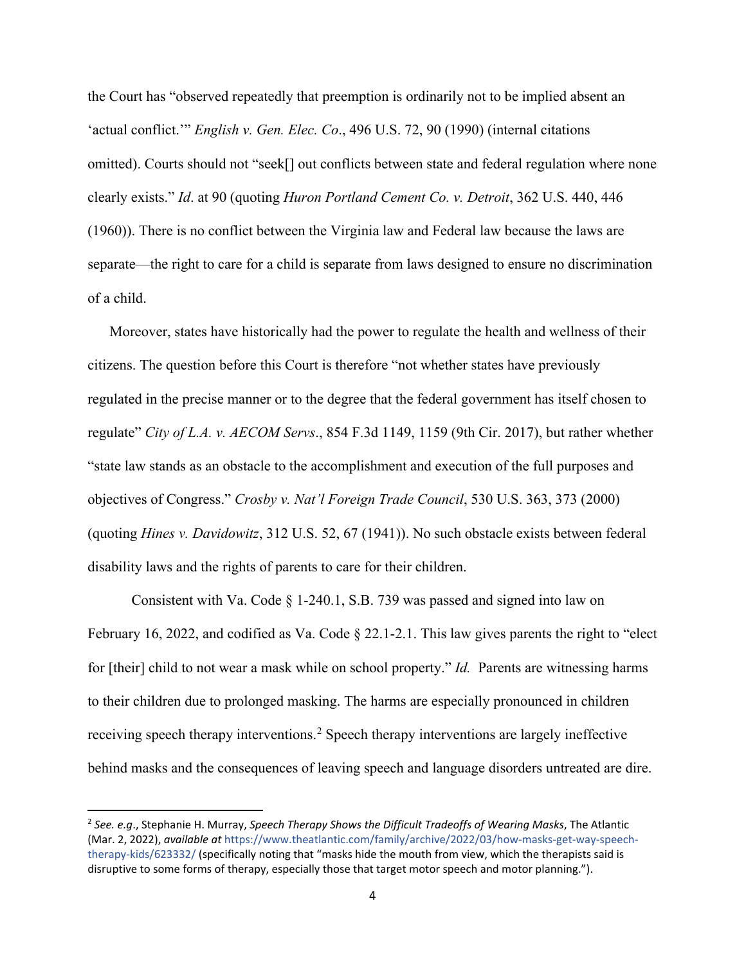the Court has "observed repeatedly that preemption is ordinarily not to be implied absent an 'actual conflict.'" *English v. Gen. Elec. Co*., 496 U.S. 72, 90 (1990) (internal citations omitted). Courts should not "seek[] out conflicts between state and federal regulation where none clearly exists." *Id*. at 90 (quoting *Huron Portland Cement Co. v. Detroit*, 362 U.S. 440, 446 (1960)). There is no conflict between the Virginia law and Federal law because the laws are separate—the right to care for a child is separate from laws designed to ensure no discrimination of a child.

Moreover, states have historically had the power to regulate the health and wellness of their citizens. The question before this Court is therefore "not whether states have previously regulated in the precise manner or to the degree that the federal government has itself chosen to regulate" *City of L.A. v. AECOM Servs*., 854 F.3d 1149, 1159 (9th Cir. 2017), but rather whether "state law stands as an obstacle to the accomplishment and execution of the full purposes and objectives of Congress." *Crosby v. Nat'l Foreign Trade Council*, 530 U.S. 363, 373 (2000) (quoting *Hines v. Davidowitz*, 312 U.S. 52, 67 (1941)). No such obstacle exists between federal disability laws and the rights of parents to care for their children.

Consistent with Va. Code § 1-240.1, S.B. 739 was passed and signed into law on February 16, 2022, and codified as Va. Code § 22.1-2.1. This law gives parents the right to "elect for [their] child to not wear a mask while on school property." *Id.* Parents are witnessing harms to their children due to prolonged masking. The harms are especially pronounced in children receiving speech therapy interventions.<sup>[2](#page-3-0)</sup> Speech therapy interventions are largely ineffective behind masks and the consequences of leaving speech and language disorders untreated are dire.

<span id="page-3-0"></span><sup>2</sup> *See. e.g*., Stephanie H. Murray, *Speech Therapy Shows the Difficult Tradeoffs of Wearing Masks*, The Atlantic (Mar. 2, 2022), *available at* https://www.theatlantic.com/family/archive/2022/03/how-masks-get-way-speechtherapy-kids/623332/ (specifically noting that "masks hide the mouth from view, which the therapists said is disruptive to some forms of therapy, especially those that target motor speech and motor planning.").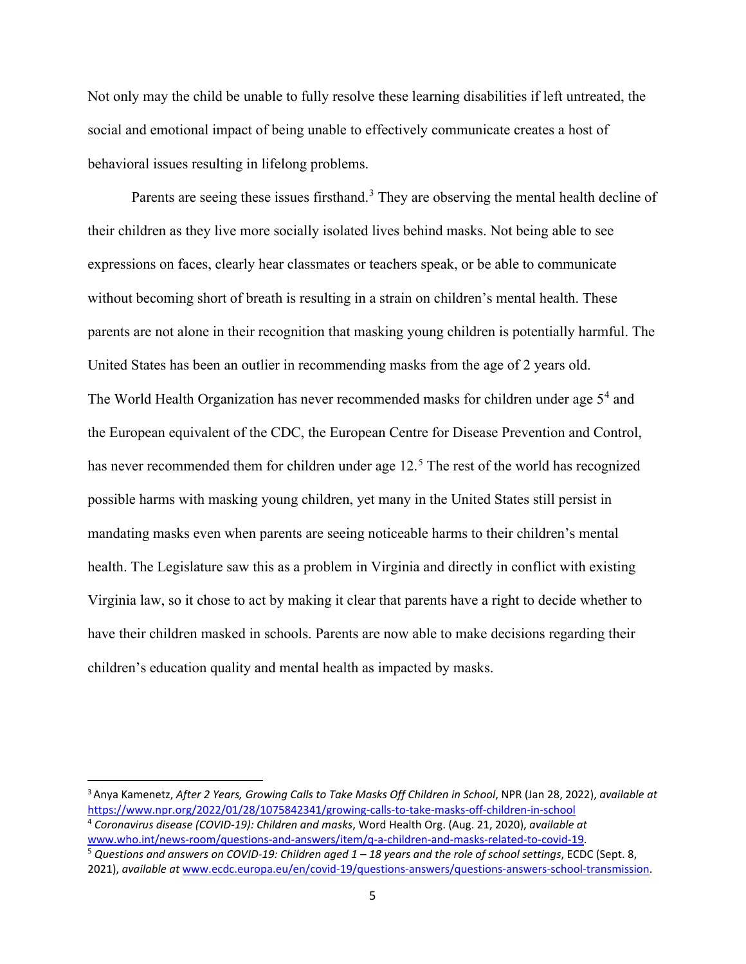Not only may the child be unable to fully resolve these learning disabilities if left untreated, the social and emotional impact of being unable to effectively communicate creates a host of behavioral issues resulting in lifelong problems.

Parents are seeing these issues firsthand.<sup>[3](#page-4-0)</sup> They are observing the mental health decline of their children as they live more socially isolated lives behind masks. Not being able to see expressions on faces, clearly hear classmates or teachers speak, or be able to communicate without becoming short of breath is resulting in a strain on children's mental health. These parents are not alone in their recognition that masking young children is potentially harmful. The United States has been an outlier in recommending masks from the age of 2 years old. The World Health Organization has never recommended masks for children under age  $5<sup>4</sup>$  $5<sup>4</sup>$  $5<sup>4</sup>$  and the European equivalent of the CDC, the European Centre for Disease Prevention and Control, has never recommended them for children under age  $12<sup>5</sup>$  $12<sup>5</sup>$  $12<sup>5</sup>$ . The rest of the world has recognized possible harms with masking young children, yet many in the United States still persist in mandating masks even when parents are seeing noticeable harms to their children's mental health. The Legislature saw this as a problem in Virginia and directly in conflict with existing Virginia law, so it chose to act by making it clear that parents have a right to decide whether to have their children masked in schools. Parents are now able to make decisions regarding their children's education quality and mental health as impacted by masks.

<span id="page-4-0"></span><sup>3</sup> Anya Kamenetz, *After 2 Years, Growing Calls to Take Masks Off Children in School*, NPR (Jan 28, 2022), *available at* <https://www.npr.org/2022/01/28/1075842341/growing-calls-to-take-masks-off-children-in-school>

<span id="page-4-1"></span><sup>4</sup> *Coronavirus disease (COVID-19): Children and masks*, Word Health Org. (Aug. 21, 2020), *available at*  [www.who.int/news-room/questions-and-answers/item/q-a-children-and-masks-related-to-covid-19.](http://www.who.int/news-room/questions-and-answers/item/q-a-children-and-masks-related-to-covid-19)

<span id="page-4-2"></span><sup>5</sup> *Questions and answers on COVID-19: Children aged 1 – 18 years and the role of school settings*, ECDC (Sept. 8, 2021), *available at* [www.ecdc.europa.eu/en/covid-19/questions-answers/questions-answers-school-transmission.](http://www.ecdc.europa.eu/en/covid-19/questions-answers/questions-answers-school-transmission)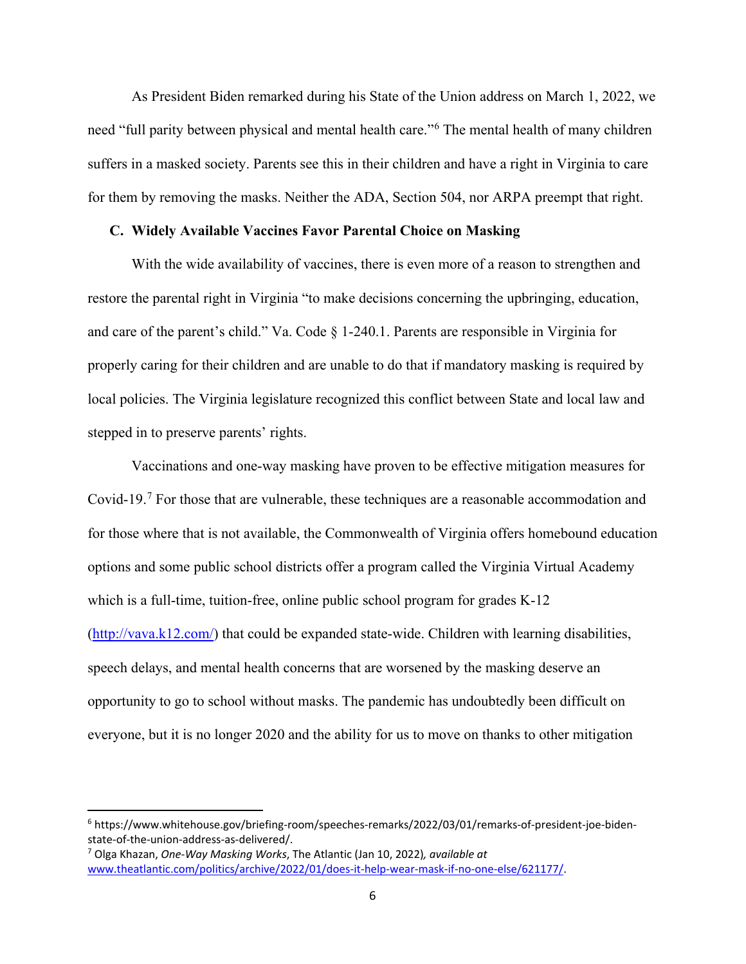As President Biden remarked during his State of the Union address on March 1, 2022, we need "full parity between physical and mental health care."<sup>[6](#page-5-0)</sup> The mental health of many children suffers in a masked society. Parents see this in their children and have a right in Virginia to care for them by removing the masks. Neither the ADA, Section 504, nor ARPA preempt that right.

#### **C. Widely Available Vaccines Favor Parental Choice on Masking**

With the wide availability of vaccines, there is even more of a reason to strengthen and restore the parental right in Virginia "to make decisions concerning the upbringing, education, and care of the parent's child." Va. Code § 1-240.1. Parents are responsible in Virginia for properly caring for their children and are unable to do that if mandatory masking is required by local policies. The Virginia legislature recognized this conflict between State and local law and stepped in to preserve parents' rights.

Vaccinations and one-way masking have proven to be effective mitigation measures for Covid-19.[7](#page-5-1) For those that are vulnerable, these techniques are a reasonable accommodation and for those where that is not available, the Commonwealth of Virginia offers homebound education options and some public school districts offer a program called the Virginia Virtual Academy which is a full-time, tuition-free, online public school program for grades K-12 [\(http://vava.k12.com/\)](http://vava.k12.com/) that could be expanded state-wide. Children with learning disabilities, speech delays, and mental health concerns that are worsened by the masking deserve an opportunity to go to school without masks. The pandemic has undoubtedly been difficult on everyone, but it is no longer 2020 and the ability for us to move on thanks to other mitigation

<span id="page-5-0"></span><sup>6</sup> https://www.whitehouse.gov/briefing-room/speeches-remarks/2022/03/01/remarks-of-president-joe-bidenstate-of-the-union-address-as-delivered/.

<span id="page-5-1"></span><sup>7</sup> Olga Khazan, *One-Way Masking Works*, The Atlantic (Jan 10, 2022)*, available at*  [www.theatlantic.com/politics/archive/2022/01/does-it-help-wear-mask-if-no-one-else/621177/.](http://www.theatlantic.com/politics/archive/2022/01/does-it-help-wear-mask-if-no-one-else/621177/)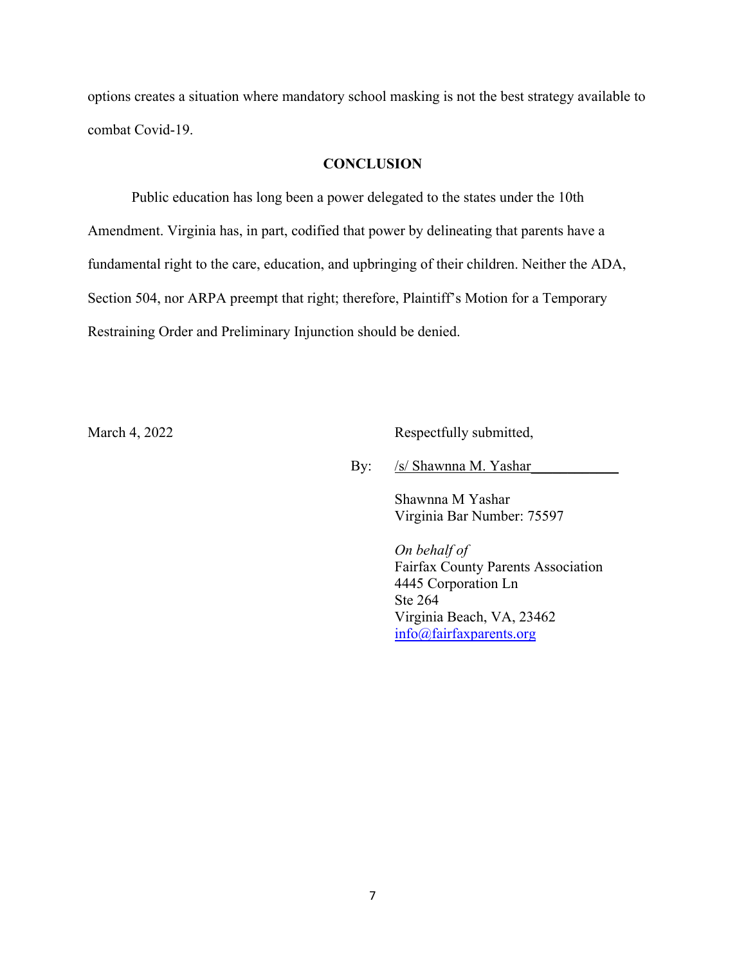options creates a situation where mandatory school masking is not the best strategy available to combat Covid-19.

## **CONCLUSION**

Public education has long been a power delegated to the states under the 10th Amendment. Virginia has, in part, codified that power by delineating that parents have a fundamental right to the care, education, and upbringing of their children. Neither the ADA, Section 504, nor ARPA preempt that right; therefore, Plaintiff's Motion for a Temporary Restraining Order and Preliminary Injunction should be denied.

March 4, 2022 Respectfully submitted,

By: /s/ Shawnna M. Yashar

Shawnna M Yashar Virginia Bar Number: 75597

*On behalf of*  Fairfax County Parents Association 4445 Corporation Ln Ste 264 Virginia Beach, VA, 23462 [info@fairfaxparents.org](mailto:info@fairfaxparents.org)